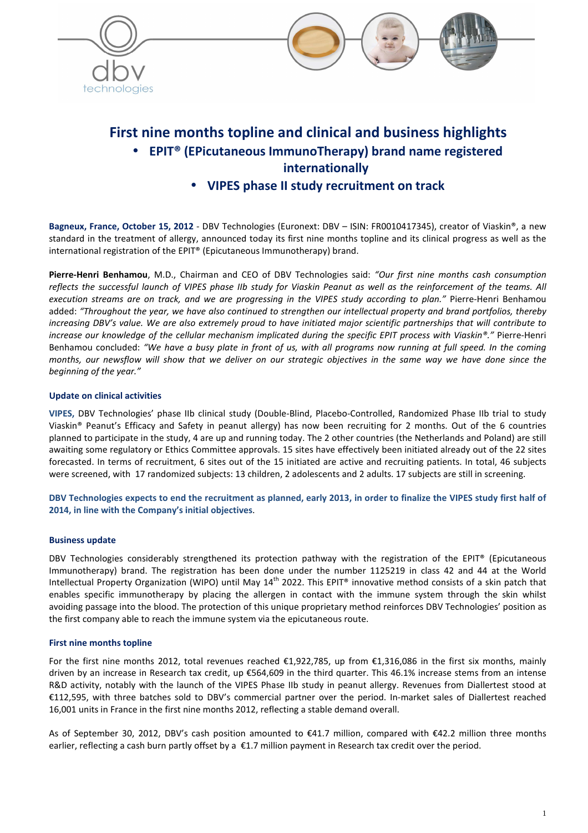



# **First nine months topline and clinical and business highlights**  • **EPIT® (EPicutaneous ImmunoTherapy) brand name registered internationally**

• **VIPES phase II study recruitment on track** 

**Bagneux, France, October 15, 2012** - DBV Technologies (Euronext: DBV – ISIN: FR0010417345), creator of Viaskin®, a new standard in the treatment of allergy, announced today its first nine months topline and its clinical progress as well as the international registration of the EPIT® (Epicutaneous Immunotherapy) brand.

**Pierre-Henri Benhamou**, M.D., Chairman and CEO of DBV Technologies said: *"Our first nine months cash consumption reflects the successful launch of VIPES phase IIb study for Viaskin Peanut as well as the reinforcement of the teams. All execution streams are on track, and we are progressing in the VIPES study according to plan."* Pierre-Henri Benhamou added: *"Throughout the year, we have also continued to strengthen our intellectual property and brand portfolios, thereby increasing DBV's value. We are also extremely proud to have initiated major scientific partnerships that will contribute to increase our knowledge of the cellular mechanism implicated during the specific EPIT process with Viaskin®."* Pierre-Henri Benhamou concluded: *"We have a busy plate in front of us, with all programs now running at full speed. In the coming months, our newsflow will show that we deliver on our strategic objectives in the same way we have done since the beginning of the year."* 

## **Update on clinical activities**

**VIPES,** DBV Technologies' phase IIb clinical study (Double-Blind, Placebo-Controlled, Randomized Phase IIb trial to study Viaskin® Peanut's Efficacy and Safety in peanut allergy) has now been recruiting for 2 months. Out of the 6 countries planned to participate in the study, 4 are up and running today. The 2 other countries (the Netherlands and Poland) are still awaiting some regulatory or Ethics Committee approvals. 15 sites have effectively been initiated already out of the 22 sites forecasted. In terms of recruitment, 6 sites out of the 15 initiated are active and recruiting patients. In total, 46 subjects were screened, with 17 randomized subjects: 13 children, 2 adolescents and 2 adults. 17 subjects are still in screening.

**DBV Technologies expects to end the recruitment as planned, early 2013, in order to finalize the VIPES study first half of 2014, in line with the Company's initial objectives**.

### **Business update**

DBV Technologies considerably strengthened its protection pathway with the registration of the EPIT® (Epicutaneous Immunotherapy) brand. The registration has been done under the number 1125219 in class 42 and 44 at the World Intellectual Property Organization (WIPO) until May  $14<sup>th</sup>$  2022. This EPIT® innovative method consists of a skin patch that enables specific immunotherapy by placing the allergen in contact with the immune system through the skin whilst avoiding passage into the blood. The protection of this unique proprietary method reinforces DBV Technologies' position as the first company able to reach the immune system via the epicutaneous route.

# **First nine months topline**

For the first nine months 2012, total revenues reached  $\epsilon$ 1,922,785, up from  $\epsilon$ 1,316,086 in the first six months, mainly driven by an increase in Research tax credit, up €564,609 in the third quarter. This 46.1% increase stems from an intense R&D activity, notably with the launch of the VIPES Phase IIb study in peanut allergy. Revenues from Diallertest stood at €112,595, with three batches sold to DBV's commercial partner over the period. In-market sales of Diallertest reached 16,001 units in France in the first nine months 2012, reflecting a stable demand overall.

As of September 30, 2012, DBV's cash position amounted to €41.7 million, compared with €42.2 million three months earlier, reflecting a cash burn partly offset by a  $\epsilon$ 1.7 million payment in Research tax credit over the period.